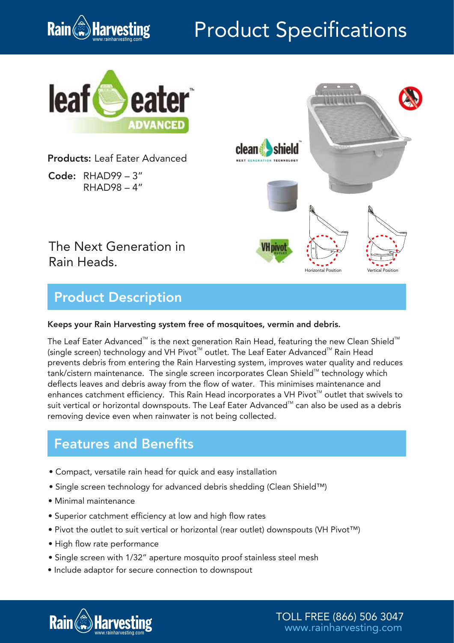

# Product Specifications



Products: Leaf Eater Advanced

Code: RHAD99 – 3" RHAD98 – 4"



### The Next Generation in Rain Heads.

## Product Description

#### Keeps your Rain Harvesting system free of mosquitoes, vermin and debris.

The Leaf Eater Advanced $^{\text{\tiny{\textsf{TM}}}}$  is the next generation Rain Head, featuring the new Clean Shield $^{\text{\tiny{\textsf{TM}}}}$ (single screen) technology and VH Pivot™ outlet. The Leaf Eater Advanced™ Rain Head prevents debris from entering the Rain Harvesting system, improves water quality and reduces tank/cistern maintenance. The single screen incorporates Clean Shield™ technology which deflects leaves and debris away from the flow of water. This minimises maintenance and enhances catchment efficiency. This Rain Head incorporates a VH Pivot<sup>™</sup> outlet that swivels to suit vertical or horizontal downspouts. The Leaf Eater Advanced™ can also be used as a debris removing device even when rainwater is not being collected.

#### Features and Benefits

- Compact, versatile rain head for quick and easy installation
- Single screen technology for advanced debris shedding (Clean Shield™)
- Minimal maintenance
- Superior catchment efficiency at low and high flow rates
- Pivot the outlet to suit vertical or horizontal (rear outlet) downspouts (VH Pivot™)
- High flow rate performance
- Single screen with 1/32" aperture mosquito proof stainless steel mesh
- Include adaptor for secure connection to downspout